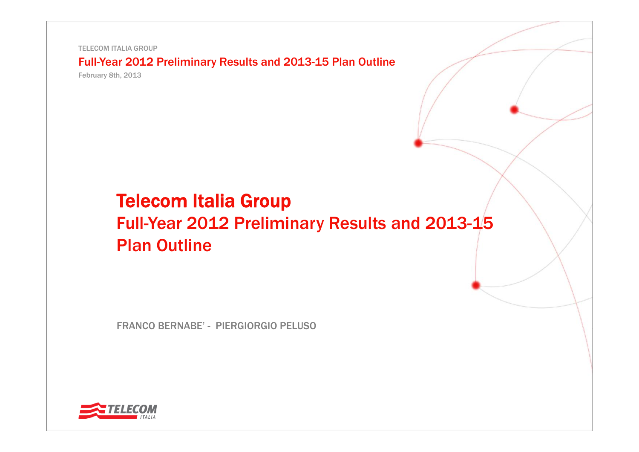TELECOM ITALIA GROUP

Full-Year 2012 Preliminary Results and 2013-15 Plan Outline

February 8th, 2013

# Telecom Italia Group Full-Year 2012 Preliminary Results and 2013-15 Plan Outline

FRANCO BERNABE' - PIERGIORGIO PELUSO

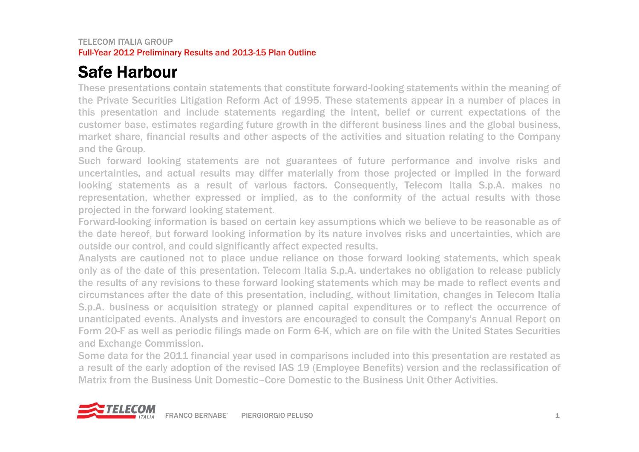# Safe Harbour

These presentations contain statements that constitute forward-looking statements within the meaning of the Private Securities Litigation Reform Act of 1995. These statements appear in <sup>a</sup> number of places in this presentation and include statements regarding the intent, belief or current expectations of the customer base, estimates regarding future growth in the different business lines and the global business, market share, financial results and other aspects of the activities and situation relating to the Company and the Group.

Such forward looking statements are not guarantees of future performance and involve risks and uncertainties, and actual results may differ materially from those projected or implied in the forward looking statements as <sup>a</sup> result of various factors. Consequently, Telecom Italia S.p.A. makes no representation, whether expressed or implied, as to the conformity of the actual results with those projected in the forward looking statement.

Forward-looking information is based on certain key assumptions which we believe to be reasonable as of the date hereof, but forward looking information by its nature involves risks and uncertainties, which are outside our control, and could significantly affect expected results.

Analysts are cautioned not to place undue reliance on those forward looking statements, which speak only as of the date of this presentation. Telecom Italia S.p.A. undertakes no obligation to release publicly the results of any revisions to these forward looking statements which may be made to reflect events and circumstances after the date of this presentation, including, without limitation, changes in Telecom Italia S.p.A. business or acquisition strategy or planned capital expenditures or to reflect the occurrence of unanticipated events. Analysts and investors are encouraged to consult the Company's Annual Report on Form 20-F as well as periodic filings made on Form 6-K, which are on file with the United States Securities and Exchange Commission.

Some data for the 2011 financial year used in comparisons included into this presentation are restated as <sup>a</sup> result of the early adoption of the revised IAS 19 (Employee Benefits) version and the reclassification of Matrix from the Business Unit Domestic–Core Domestic to the Business Unit Other Activities.

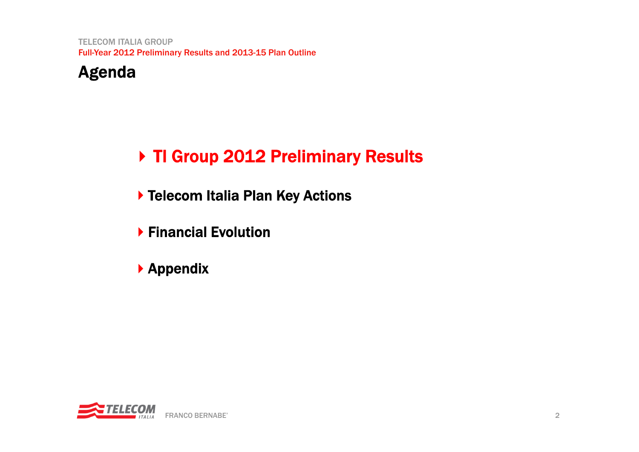

# ▶ TI Group 2012 Preliminary Results

- ▶ Telecom Italia Plan Key Actions
- Financial Evolution
- Appendix

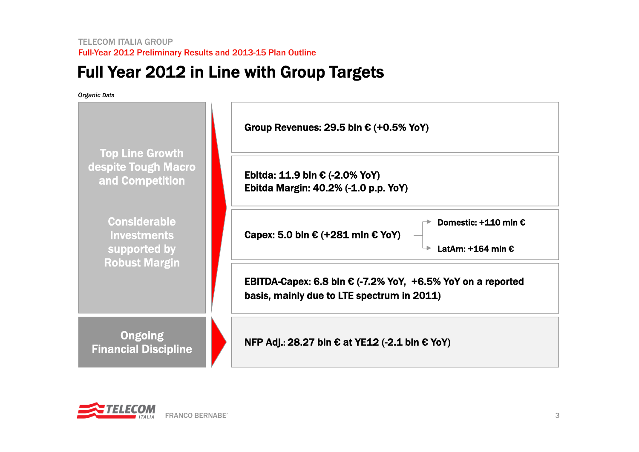# Full Year 2012 in Line with Group Targets

*Organic Data*

| Organic Data                                                                      |                                                                                                                    |
|-----------------------------------------------------------------------------------|--------------------------------------------------------------------------------------------------------------------|
|                                                                                   | Group Revenues: 29.5 bln $\epsilon$ (+0.5% YoY)                                                                    |
| <b>Top Line Growth</b><br>despite Tough Macro<br>and Competition                  | Ebitda: 11.9 bln € $(-2.0%$ YoY)<br>Ebitda Margin: 40.2% (-1.0 p.p. YoY)                                           |
| <b>Considerable</b><br><b>Investments</b><br>supported by<br><b>Robust Margin</b> | Domestic: +110 mln €<br>Capex: 5.0 bln € (+281 mln € YoY)<br>LatAm: +164 mln €                                     |
|                                                                                   | EBITDA-Capex: 6.8 bln $\epsilon$ (-7.2% YoY, +6.5% YoY on a reported<br>basis, mainly due to LTE spectrum in 2011) |
| <b>Ongoing</b><br><b>Financial Discipline</b>                                     | NFP Adj.: 28.27 bln € at YE12 (-2.1 bln € YoY)                                                                     |

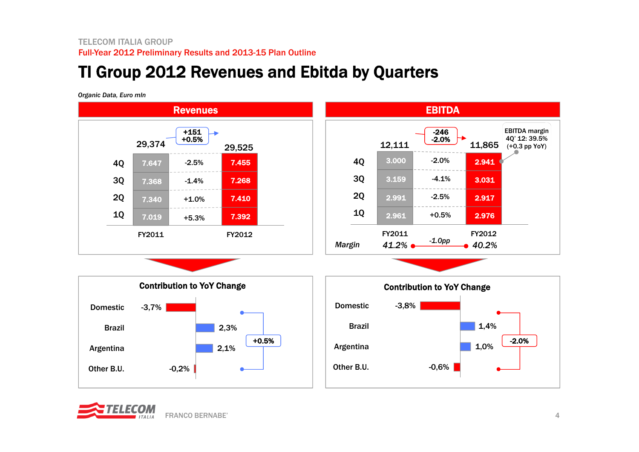# TI Group 2012 Revenues and Ebitda by Quarters

*Organic Data, Euro mln* 



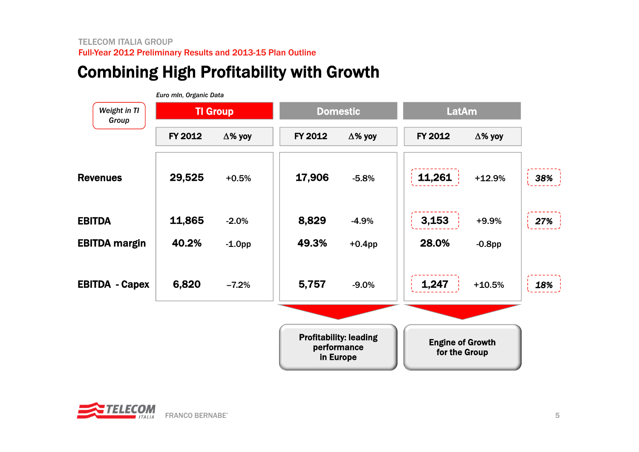# Combining High Profitability with Growth

|                       | Euro mln, Organic Data |                 |         |                                                           |              |                                          |        |
|-----------------------|------------------------|-----------------|---------|-----------------------------------------------------------|--------------|------------------------------------------|--------|
| Weight in TI<br>Group |                        | <b>TI Group</b> |         | <b>Domestic</b>                                           | <b>LatAm</b> |                                          |        |
|                       | FY 2012                | $\Delta$ % yoy  | FY 2012 | $\Delta$ % yoy                                            | FY 2012      | $\Delta$ % yoy                           |        |
| <b>Revenues</b>       | 29,525                 | $+0.5%$         | 17,906  | $-5.8%$                                                   | 11,261       | $+12.9%$                                 | $38\%$ |
| <b>EBITDA</b>         | 11,865                 | $-2.0%$         | 8,829   | $-4.9%$                                                   | 3,153        | $+9.9%$                                  | 27%    |
| <b>EBITDA margin</b>  | 40.2%                  | $-1.0pp$        | 49.3%   | $+0.4$ pp                                                 | 28.0%        | $-0.8$ pp                                |        |
| <b>EBITDA - Capex</b> | 6,820                  | $-7.2%$         | 5,757   | $-9.0%$                                                   | 1,247        | $+10.5%$                                 | 18%    |
|                       |                        |                 |         |                                                           |              |                                          |        |
|                       |                        |                 |         | <b>Profitability: leading</b><br>performance<br>in Europe |              | <b>Engine of Growth</b><br>for the Group |        |

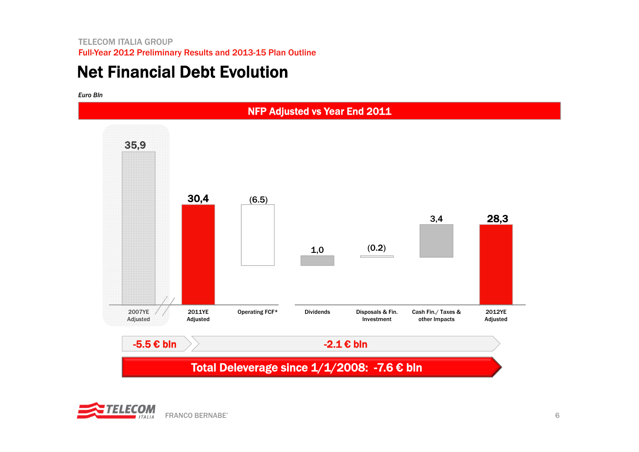# Net Financial Debt Evolution

*Euro Bln*



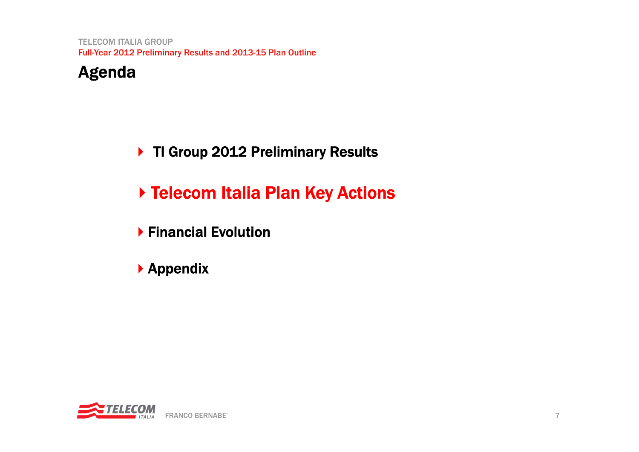## Agenda

### ▶ TI Group 2012 Preliminary Results

# ▶ Telecom Italia Plan Key Actions

- Financial Evolution
- Appendix

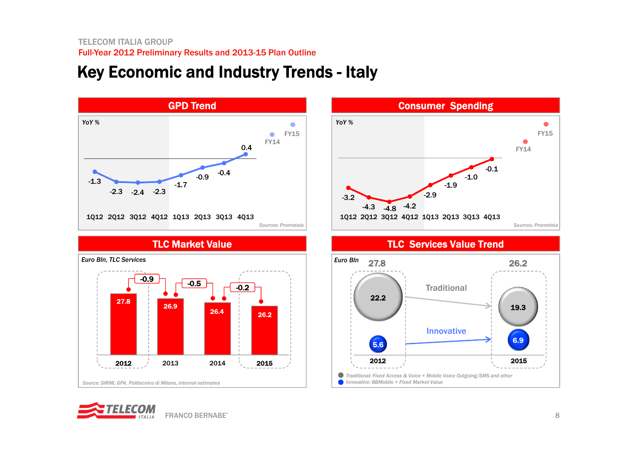# Key Economic and Industry Trends - Italy



 Consumer Spending  $\bullet$ FY15٠ FY14-0.1-1.0-1.9 -2.9 -3.2-4.3 -4.8 -4.2 1Q12 2Q12 3Q12 4Q12 1Q13 2Q13 3Q13 4Q13 *Sources: Prometeia*

TLC Market Value TLC Services Value Trend





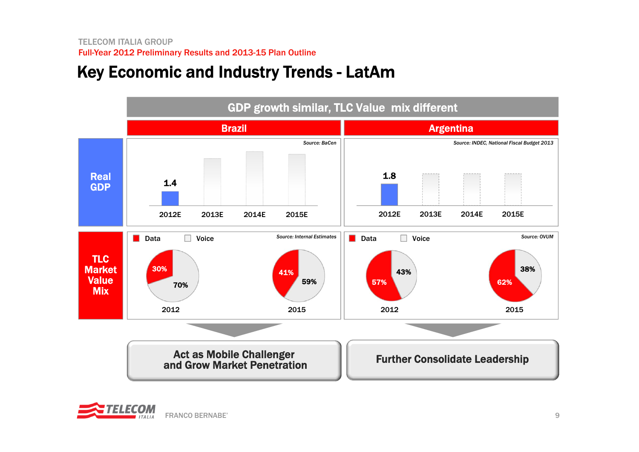# Key Economic and Industry Trends - LatAm



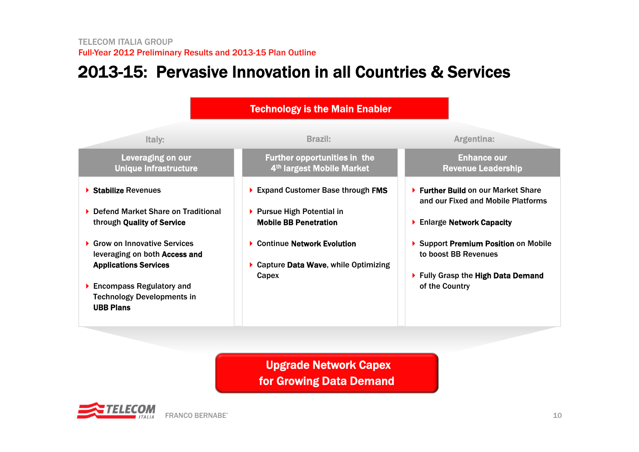# 2013-15: Pervasive Innovation in all Countries & Services



Upgrade Network Capex for Growing Data Demand

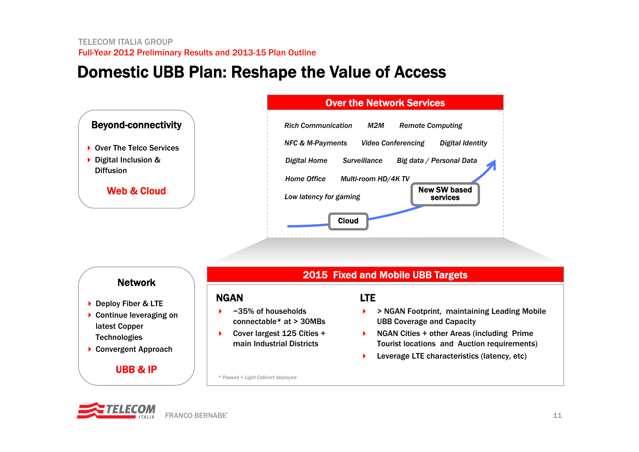## Domestic UBB Plan: Reshape the Value of Access



### Network

- ▶ Deploy Fiber & LTE
- ▶ Continue leveraging on latest Copper **Technologies**
- ▶ Convergent Approach

### UBB & IP

### 2015 Fixed and Mobile UBB Targets

### NGAN

- ▶ ~35% of households connectable\* at > 30MBs
- ▶ Cover largest 125 Cities + main Industrial Districts

### LTE

- ▶ > NGAN Footprint, maintaining Leading Mobile UBB Coverage and Capacity
- Access + other Areas (including Prime Tourist locations and Auction requirements)
	- $\blacktriangleright$ Leverage LTE characteristics (latency, etc)

*\* Passed + Light Cabinet deployed*

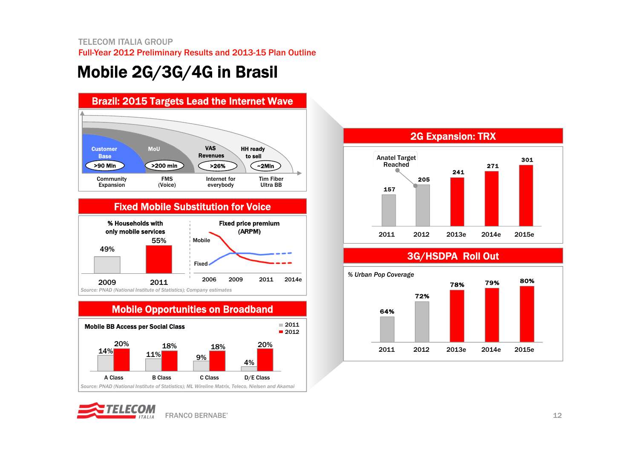# Mobile 2G/3G/4G in Brasil



### Fixed Mobile Substitution for Voice



#### Mobile Opportunities on Broadband Mobile BB Access per Social Class *Source: PNAD (National Institute of Statistics); ML Wireline Matrix, Teleco, Nielsen and Akamai* 14% 11% 9%4%20% 18% 18% 20% A Class B Class C Class D/E Class  $2012$  $= 2011$







### 3G/HSDPA Roll Out

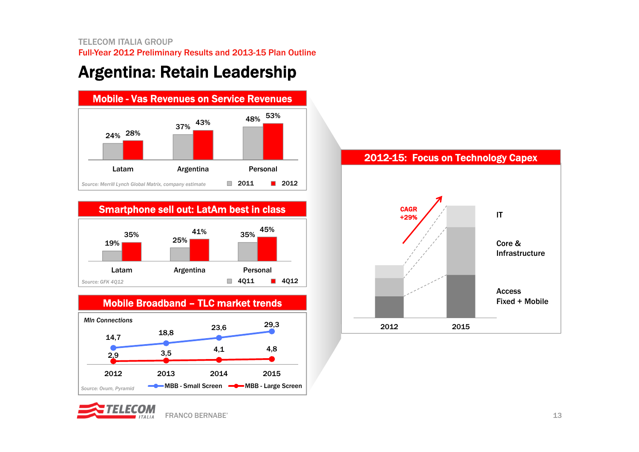# Argentina: Retain Leadership



Smartphone sell out: LatAm best in class







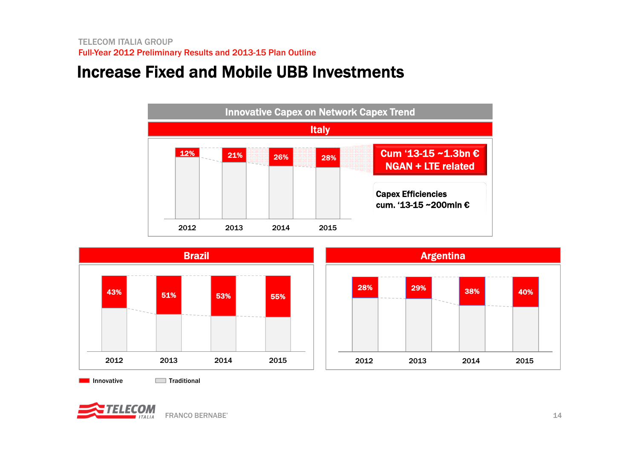# Increase Fixed and Mobile UBB Investments





Innovative Traditional

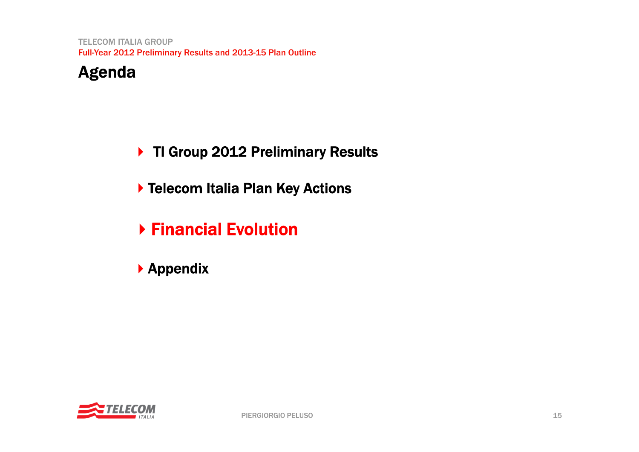## Agenda

- ▶ TI Group 2012 Preliminary Results
- ▶ Telecom Italia Plan Key Actions
- Financial Evolution
- Appendix

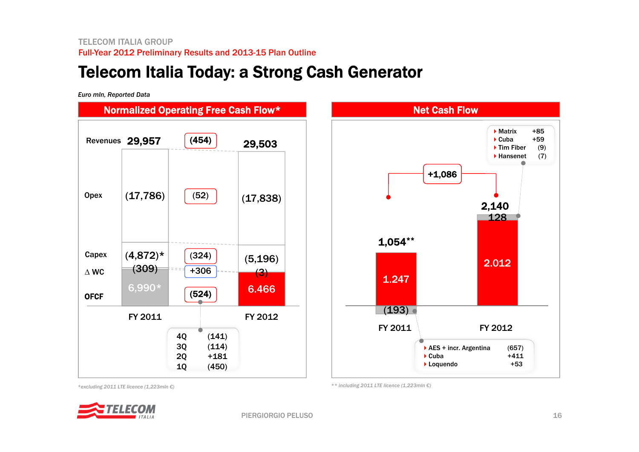## Telecom Italia Today: a Strong Cash Generator

*Euro mln, Reported Data*



*\*\* including 2011 LTE licence (1,223mln €)*

*\*excluding 2011 LTE licence (1,223mln €)*



16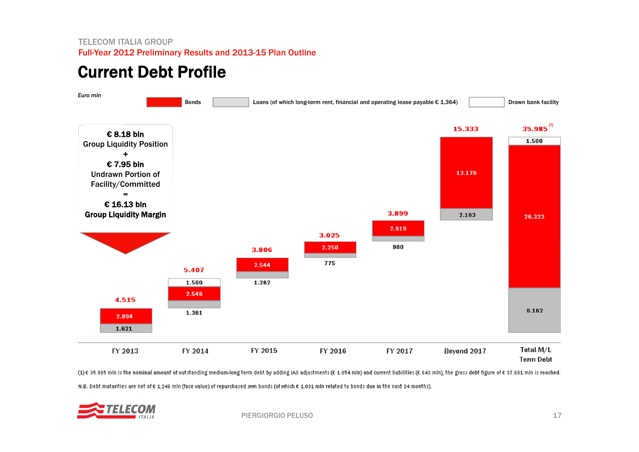# Current Debt Profile



(1)€ 35.985 mln is the nominal amount of outstanding medium-long term debt by adding IAS adjustments (€ 1.054 mln) and current liabilities (€ 643 mln), the gross debt figure of € 37.681 mln is reached. N.B. Debt maturities are net of € 1.246 mln (face value) of repurchased own bonds (of which € 1.031 mln related to bonds due in the next 24 months).

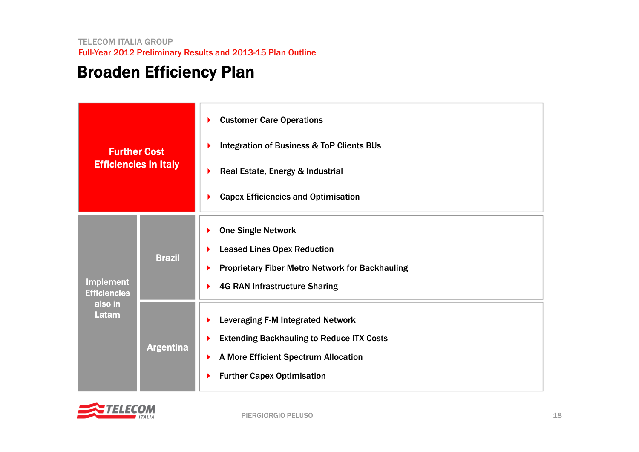# Broaden Efficiency Plan

| <b>Further Cost</b><br><b>Efficiencies in Italy</b>         |                  | <b>Customer Care Operations</b><br>▶<br><b>Integration of Business &amp; ToP Clients BUs</b><br>Real Estate, Energy & Industrial<br><b>Capex Efficiencies and Optimisation</b> |
|-------------------------------------------------------------|------------------|--------------------------------------------------------------------------------------------------------------------------------------------------------------------------------|
| <b>Implement</b><br><b>Efficiencies</b><br>also in<br>Latam | <b>Brazil</b>    | <b>One Single Network</b><br><b>Leased Lines Opex Reduction</b><br><b>Proprietary Fiber Metro Network for Backhauling</b><br><b>4G RAN Infrastructure Sharing</b>              |
|                                                             | <b>Argentina</b> | Leveraging F-M Integrated Network<br><b>Extending Backhauling to Reduce ITX Costs</b><br>A More Efficient Spectrum Allocation<br><b>Further Capex Optimisation</b>             |

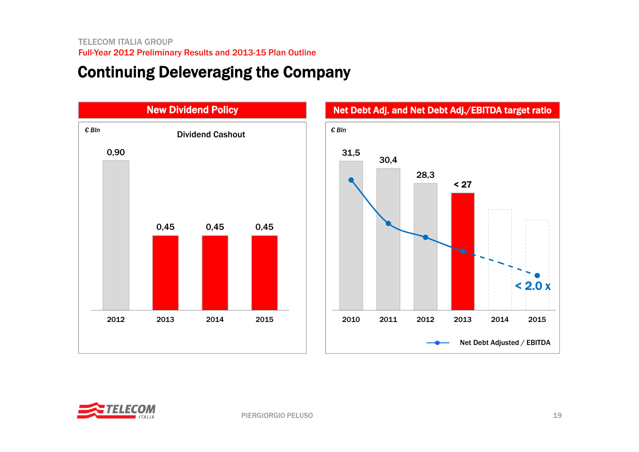### Continuing Deleveraging the Company





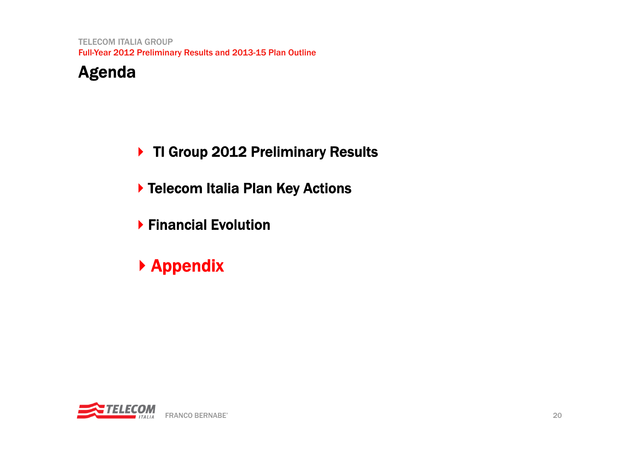## Agenda

- ▶ TI Group 2012 Preliminary Results
- ▶ Telecom Italia Plan Key Actions
- Financial Evolution
- Appendix

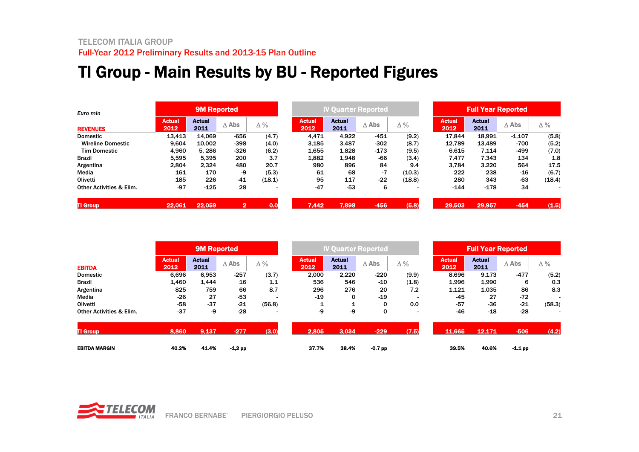# TI Group - Main Results by BU - Reported Figures

| Euro mln                            |                       | 9M Reported           |                 |        |                       | <b>IV Quarter Reported</b> |                 |                          |                       |                       | <b>Full Year Reported</b> |        |  |  |
|-------------------------------------|-----------------------|-----------------------|-----------------|--------|-----------------------|----------------------------|-----------------|--------------------------|-----------------------|-----------------------|---------------------------|--------|--|--|
| <b>REVENUES</b>                     | <b>Actual</b><br>2012 | <b>Actual</b><br>2011 | $\triangle$ Abs | Δ%     | <b>Actual</b><br>2012 | <b>Actual</b><br>2011      | $\triangle$ Abs | Δ%                       | <b>Actual</b><br>2012 | <b>Actual</b><br>2011 | $\triangle$ Abs           | Δ%     |  |  |
| <b>Domestic</b>                     | 13.413                | 14.069                | $-656$          | (4.7)  | 4.471                 | 4.922                      | $-451$          | (9.2)                    | 17.844                | 18,991                | $-1,107$                  | (5.8)  |  |  |
| <b>Wireline Domestic</b>            | 9,604                 | 10.002                | $-398$          | (4.0)  | 3,185                 | 3,487                      | $-302$          | (8.7)                    | 12,789                | 13,489                | -700                      | (5.2)  |  |  |
| <b>Tim Domestic</b>                 | 4,960                 | 5.286                 | $-326$          | (6.2)  | 1,655                 | 1,828                      | $-173$          | (9.5)                    | 6,615                 | 7.114                 | -499                      | (7.0)  |  |  |
| <b>Brazil</b>                       | 5.595                 | 5.395                 | 200             | 3.7    | 1,882                 | 1,948                      | -66             | (3.4)                    | 7,477                 | 7,343                 | 134                       | 1.8    |  |  |
| Argentina                           | 2.804                 | 2.324                 | 480             | 20.7   | 980                   | 896                        | 84              | 9.4                      | 3,784                 | 3.220                 | 564                       | 17.5   |  |  |
| Media                               | 161                   | 170                   | -9              | (5.3)  | 61                    | 68                         | $-7$            | (10.3)                   | 222                   | 238                   | -16                       | (6.7)  |  |  |
| Olivetti                            | 185                   | 226                   | $-41$           | (18.1) | 95                    | 117                        | $-22$           | (18.8)                   | 280                   | 343                   | $-63$                     | (18.4) |  |  |
| <b>Other Activities &amp; Elim.</b> | $-97$                 | $-125$                | 28              |        | $-47$                 | $-53$                      | 6               | $\overline{\phantom{0}}$ | $-144$                | $-178$                | 34                        |        |  |  |
| <b>TI Group</b>                     | 22,061                | 22,059                | 2               | 0.0    | 7.442                 | 7,898                      | -456            | (5.8)                    | 29,503                | 29,957                | $-454$                    | (1.5)  |  |  |

|                                     |                       | 9M Reported           |                 |                          |                       |                       | <b>IV Quarter Reported</b> |                          | <b>Full Year Reported</b> |                       |                 |            |
|-------------------------------------|-----------------------|-----------------------|-----------------|--------------------------|-----------------------|-----------------------|----------------------------|--------------------------|---------------------------|-----------------------|-----------------|------------|
| <b>EBITDA</b>                       | <b>Actual</b><br>2012 | <b>Actual</b><br>2011 | $\triangle$ Abs | Δ%                       | <b>Actual</b><br>2012 | <b>Actual</b><br>2011 | $\triangle$ Abs            | $\Delta\%$               | <b>Actual</b><br>2012     | <b>Actual</b><br>2011 | $\triangle$ Abs | $\Delta\%$ |
| <b>Domestic</b>                     | 6,696                 | 6,953                 | $-257$          | (3.7)                    | 2,000                 | 2,220                 | $-220$                     | (9.9)                    | 8,696                     | 9,173                 | $-477$          | (5.2)      |
| <b>Brazil</b>                       | 1,460                 | 1.444                 | 16              | 1.1                      | 536                   | 546                   | -10                        | (1.8)                    | 1,996                     | 1,990                 | 6               | 0.3        |
| Argentina                           | 825                   | 759                   | 66              | 8.7                      | 296                   | 276                   | 20                         | 7.2                      | 1,121                     | 1,035                 | 86              | 8.3        |
| Media                               | $-26$                 | 27                    | $-53$           |                          | $-19$                 | 0                     | $-19$                      |                          | -45                       | 27                    | $-72$           |            |
| Olivetti                            | $-58$                 | $-37$                 | $-21$           | (56.8)                   |                       | 1                     | 0                          | 0.0                      | $-57$                     | $-36$                 | $-21$           | (58.3)     |
| <b>Other Activities &amp; Elim.</b> | $-37$                 | -9                    | $-28$           | $\overline{\phantom{a}}$ | -9                    | -9                    | 0                          | $\overline{\phantom{0}}$ | $-46$                     | $-18$                 | $-28$           |            |
| <b>TI Group</b>                     | 8,860                 | 9.137                 | $-277$          | (3.0)                    | 2,805                 | 3,034                 | $-229$                     | (7.5)                    | 11,665                    | 12.171                | $-506$          | (4.2)      |
| <b>EBITDA MARGIN</b>                | 40.2%                 | 41.4%                 | $-1.2$ pp       |                          | 37.7%                 | 38.4%                 | $-0.7$ pp                  |                          | 39.5%                     | 40.6%                 | $-1.1$ pp       |            |

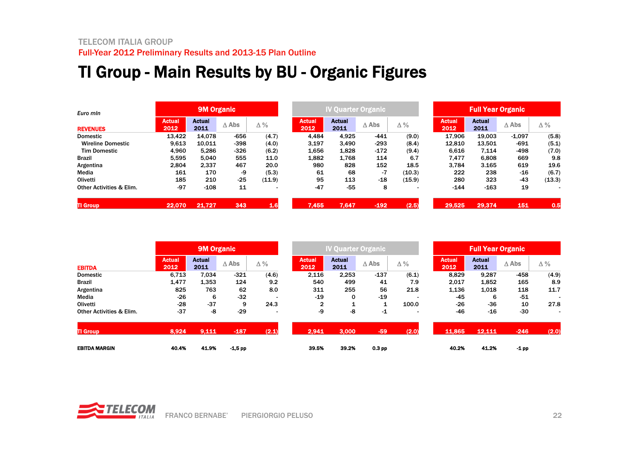# TI Group - Main Results by BU - Organic Figures

| Euro min<br><b>REVENUES</b>         |                       | <b>9M Organic</b>     |                 |            |                       | <b>IV Quarter Organic</b> |                 |            | <b>Full Year Organic</b> |                       |                 |            |
|-------------------------------------|-----------------------|-----------------------|-----------------|------------|-----------------------|---------------------------|-----------------|------------|--------------------------|-----------------------|-----------------|------------|
|                                     | <b>Actual</b><br>2012 | <b>Actual</b><br>2011 | $\triangle$ Abs | $\Delta\%$ | <b>Actual</b><br>2012 | <b>Actual</b><br>2011     | $\triangle$ Abs | $\Delta\%$ | <b>Actual</b><br>2012    | <b>Actual</b><br>2011 | $\triangle$ Abs | $\Delta\%$ |
| <b>Domestic</b>                     | 13.422                | 14.078                | $-656$          | (4.7)      | 4.484                 | 4.925                     | $-441$          | (9.0)      | 17.906                   | 19.003                | $-1,097$        | (5.8)      |
| <b>Wireline Domestic</b>            | 9.613                 | 10.011                | -398            | (4.0)      | 3.197                 | 3,490                     | $-293$          | (8.4)      | 12.810                   | 13,501                | -691            | (5.1)      |
| <b>Tim Domestic</b>                 | 4.960                 | 5.286                 | -326            | (6.2)      | 1,656                 | 1,828                     | $-172$          | (9.4)      | 6.616                    | 7.114                 | -498            | (7.0)      |
| <b>Brazil</b>                       | 5.595                 | 5.040                 | 555             | 11.0       | 1,882                 | 1.768                     | 114             | 6.7        | 7,477                    | 6,808                 | 669             | 9.8        |
| Argentina                           | 2.804                 | 2.337                 | 467             | 20.0       | 980                   | 828                       | 152             | 18.5       | 3.784                    | 3.165                 | 619             | 19.6       |
| Media                               | 161                   | 170                   | -9              | (5.3)      | 61                    | 68                        | $-7$            | (10.3)     | 222                      | 238                   | -16             | (6.7)      |
| Olivetti                            | 185                   | 210                   | $-25$           | (11.9)     | 95                    | 113                       | $-18$           | (15.9)     | 280                      | 323                   | $-43$           | (13.3)     |
| <b>Other Activities &amp; Elim.</b> | $-97$                 | $-108$                | 11              |            | $-47$                 | $-55$                     | 8               | ۰          | $-144$                   | $-163$                | 19              |            |
| <b>TI Group</b>                     | 22,070                | 21,727                | 343             | 1.6        | 7,455                 | 7.647                     | $-192$          | (2.5)      | 29,525                   | 29,374                | 151             | 0.5        |

|                                     |                       | <b>9M Organic</b>     |                 |                          |                       | <b>IV Quarter Organic</b> |                   |            |                       | <b>Full Year Organic</b> |                 |                          |  |  |
|-------------------------------------|-----------------------|-----------------------|-----------------|--------------------------|-----------------------|---------------------------|-------------------|------------|-----------------------|--------------------------|-----------------|--------------------------|--|--|
| <b>EBITDA</b>                       | <b>Actual</b><br>2012 | <b>Actual</b><br>2011 | $\triangle$ Abs | Δ%                       | <b>Actual</b><br>2012 | <b>Actual</b><br>2011     | $\triangle$ Abs   | $\Delta\%$ | <b>Actual</b><br>2012 | <b>Actual</b><br>2011    | $\triangle$ Abs | $\Delta\%$               |  |  |
| <b>Domestic</b>                     | 6,713                 | 7.034                 | $-321$          | (4.6)                    | 2,116                 | 2,253                     | $-137$            | (6.1)      | 8,829                 | 9,287                    | $-458$          | (4.9)                    |  |  |
| <b>Brazil</b>                       | 1,477                 | 1,353                 | 124             | 9.2                      | 540                   | 499                       | 41                | 7.9        | 2,017                 | 1,852                    | 165             | 8.9                      |  |  |
| Argentina                           | 825                   | 763                   | 62              | 8.0                      | 311                   | 255                       | 56                | 21.8       | 1,136                 | 1,018                    | 118             | 11.7                     |  |  |
| Media                               | $-26$                 | 6                     | $-32$           |                          | $-19$                 | 0                         | $-19$             |            | -45                   | 6                        | $-51$           |                          |  |  |
| Olivetti                            | $-28$                 | $-37$                 | 9               | 24.3                     | $\overline{2}$        | 1                         |                   | 100.0      | $-26$                 | $-36$                    | 10              | 27.8                     |  |  |
| <b>Other Activities &amp; Elim.</b> | $-37$                 | -8                    | $-29$           | $\overline{\phantom{0}}$ | -9                    | -8                        | $-1$              |            | $-46$                 | $-16$                    | $-30$           | $\overline{\phantom{0}}$ |  |  |
| <b>TI Group</b>                     | 8,924                 | 9,111                 | $-187$          | (2.1)                    | 2,941                 | 3,000                     | $-59$             | (2.0)      | 11.865                | 12,111                   | $-246$          | (2.0)                    |  |  |
| <b>EBITDA MARGIN</b>                | 40.4%                 | 41.9%                 | $-1.5$ pp       |                          | 39.5%                 | 39.2%                     | 0.3 <sub>pp</sub> |            | 40.2%                 | 41.2%                    | $-1$ pp         |                          |  |  |